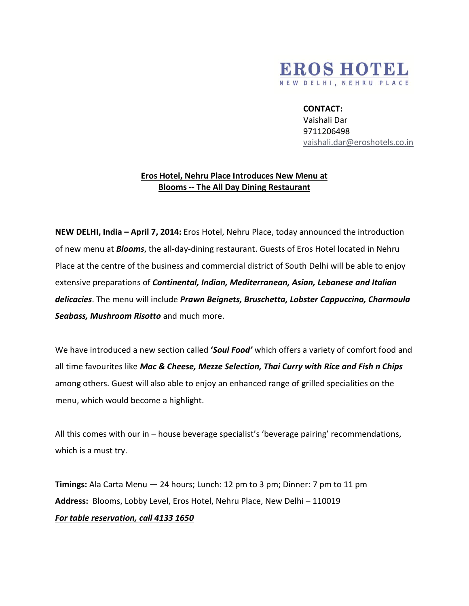

## **CONTACT:**

Vaishali Dar 9711206498 [vaishali.dar@eroshotels.co.in](mailto:vaishali.dar@eroshotels.co.in)

## **Eros Hotel, Nehru Place Introduces New Menu at Blooms -- The All Day Dining Restaurant**

**NEW DELHI, India – April 7, 2014:** Eros Hotel, Nehru Place, today announced the introduction of new menu at *Blooms*, the all-day-dining restaurant. Guests of Eros Hotel located in Nehru Place at the centre of the business and commercial district of South Delhi will be able to enjoy extensive preparations of *Continental, Indian, Mediterranean, Asian, Lebanese and Italian delicacies*. The menu will include *Prawn Beignets, Bruschetta, Lobster Cappuccino, Charmoula Seabass, Mushroom Risotto* and much more.

We have introduced a new section called **'***Soul Food'* which offers a variety of comfort food and all time favourites like *Mac & Cheese, Mezze Selection, Thai Curry with Rice and Fish n Chips* among others. Guest will also able to enjoy an enhanced range of grilled specialities on the menu, which would become a highlight.

All this comes with our in – house beverage specialist's 'beverage pairing' recommendations, which is a must try.

**Timings:** Ala Carta Menu — 24 hours; Lunch: 12 pm to 3 pm; Dinner: 7 pm to 11 pm **Address:** Blooms, Lobby Level, Eros Hotel, Nehru Place, New Delhi – 110019 *For table reservation, call 4133 1650*